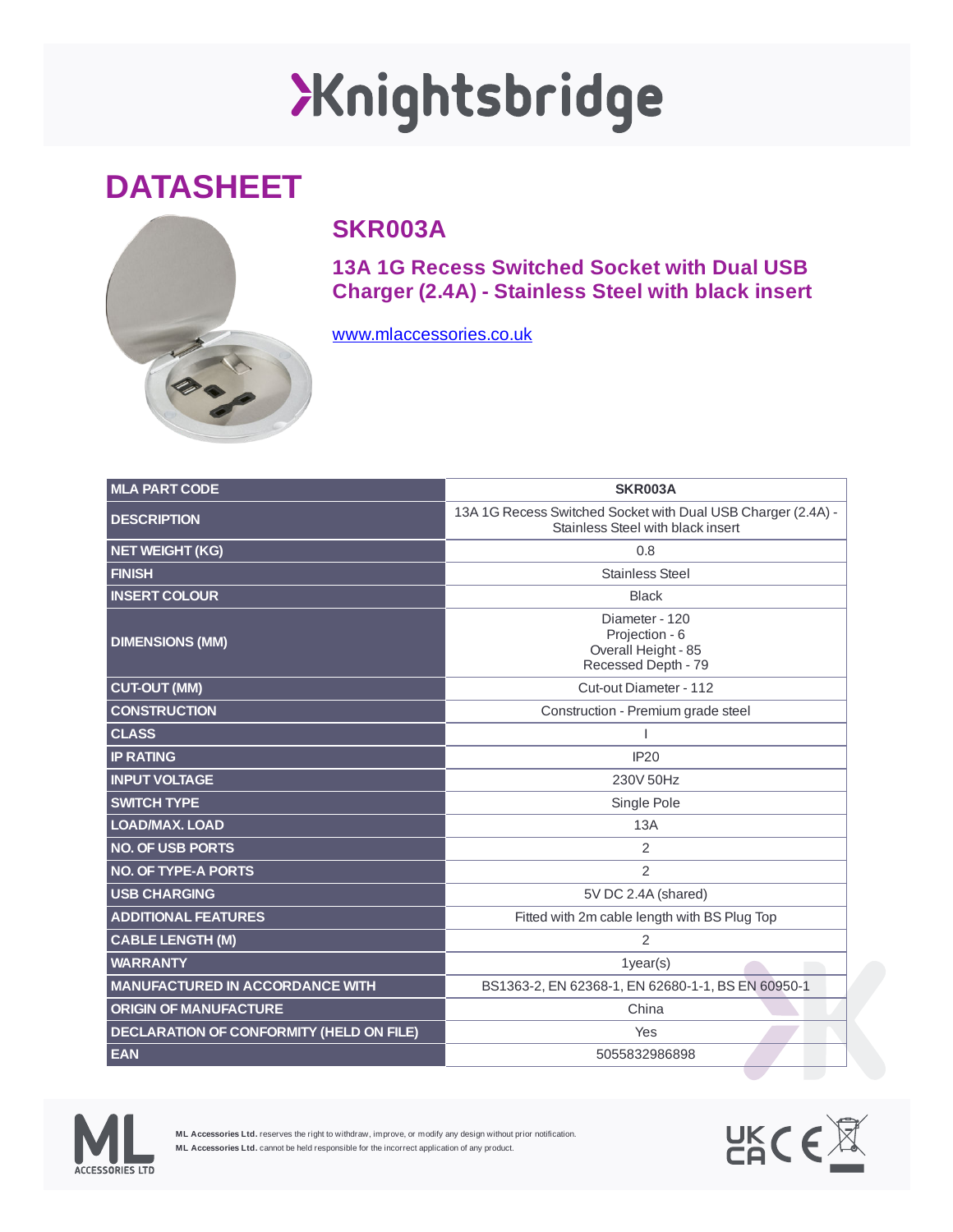## XKnightsbridge

## **DATASHEET**



## **SKR003A**

**13A 1G Recess Switched Socket with Dual USB Charger (2.4A) - Stainless Steel with black insert**

[www.mlaccessories.co.uk](https://www.mlaccessories.co.uk/)

| <b>MLA PART CODE</b>                            | <b>SKR003A</b>                                                                                    |
|-------------------------------------------------|---------------------------------------------------------------------------------------------------|
| <b>DESCRIPTION</b>                              | 13A 1G Recess Switched Socket with Dual USB Charger (2.4A) -<br>Stainless Steel with black insert |
| <b>NET WEIGHT (KG)</b>                          | 0.8                                                                                               |
| <b>FINISH</b>                                   | <b>Stainless Steel</b>                                                                            |
| <b>INSERT COLOUR</b>                            | <b>Black</b>                                                                                      |
| <b>DIMENSIONS (MM)</b>                          | Diameter - 120<br>Projection - 6<br>Overall Height - 85<br>Recessed Depth - 79                    |
| <b>CUT-OUT (MM)</b>                             | Cut-out Diameter - 112                                                                            |
| <b>CONSTRUCTION</b>                             | Construction - Premium grade steel                                                                |
| <b>CLASS</b>                                    |                                                                                                   |
| <b>IP RATING</b>                                | <b>IP20</b>                                                                                       |
| <b>INPUT VOLTAGE</b>                            | 230V 50Hz                                                                                         |
| <b>SWITCH TYPE</b>                              | Single Pole                                                                                       |
| <b>LOAD/MAX, LOAD</b>                           | 13A                                                                                               |
| <b>NO. OF USB PORTS</b>                         | $\overline{2}$                                                                                    |
| <b>NO. OF TYPE-A PORTS</b>                      | $\overline{2}$                                                                                    |
| <b>USB CHARGING</b>                             | 5V DC 2.4A (shared)                                                                               |
| <b>ADDITIONAL FEATURES</b>                      | Fitted with 2m cable length with BS Plug Top                                                      |
| <b>CABLE LENGTH (M)</b>                         | $\overline{2}$                                                                                    |
| <b>WARRANTY</b>                                 | $1$ year $(s)$                                                                                    |
| <b>MANUFACTURED IN ACCORDANCE WITH</b>          | BS1363-2, EN 62368-1, EN 62680-1-1, BS EN 60950-1                                                 |
| <b>ORIGIN OF MANUFACTURE</b>                    | China                                                                                             |
| <b>DECLARATION OF CONFORMITY (HELD ON FILE)</b> | Yes                                                                                               |
| <b>EAN</b>                                      | 5055832986898                                                                                     |



**ML Accessories Ltd.** reserves the right to withdraw, improve, or modify any design without prior notification. **ML Accessories Ltd.** cannot be held responsible for the incorrect application of any product.